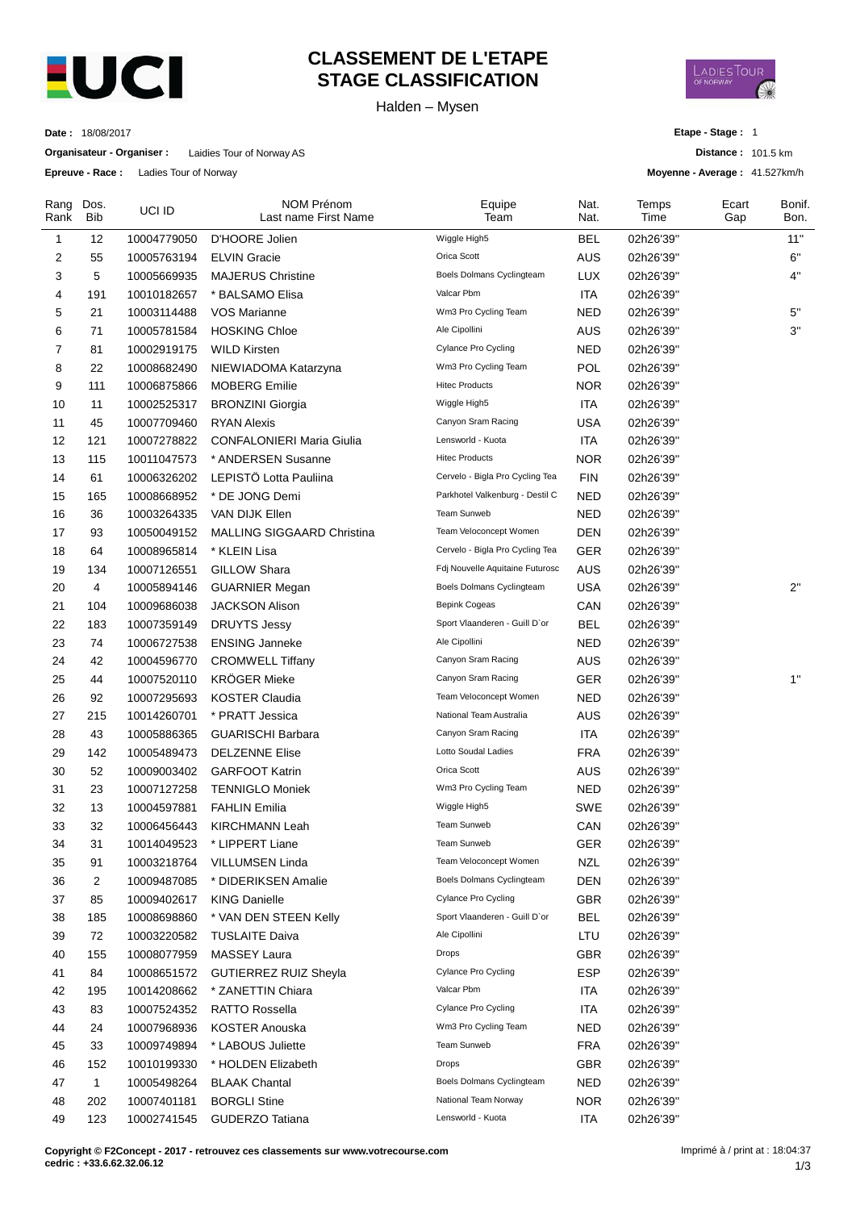

## **CLASSEMENT DE L'ETAPE STAGE CLASSIFICATION**

Halden – Mysen



**Date :** 18/08/2017

**Organisateur - Organiser :** Laidies Tour of Norway AS

**Epreuve - Race :** Ladies Tour of Norway

**Etape - Stage :** 1

**Distance :** 101.5 km

**Moyenne - Average :** 41.527km/h

| Rang<br>Rank | Dos.<br><b>Bib</b> | UCI ID                     | NOM Prénom<br>Last name First Name | Equipe<br>Team                     | Nat.<br>Nat.      | Temps<br>Time          | Ecart<br>Gap | Bonif.<br>Bon. |
|--------------|--------------------|----------------------------|------------------------------------|------------------------------------|-------------------|------------------------|--------------|----------------|
| $\mathbf{1}$ | 12                 | 10004779050                | D'HOORE Jolien                     | Wiggle High5                       | <b>BEL</b>        | 02h26'39"              |              | 11"            |
| 2            | 55                 | 10005763194                | <b>ELVIN Gracie</b>                | Orica Scott                        | <b>AUS</b>        | 02h26'39"              |              | 6"             |
| 3            | 5                  | 10005669935                | <b>MAJERUS Christine</b>           | Boels Dolmans Cyclingteam          | <b>LUX</b>        | 02h26'39"              |              | 4"             |
| 4            | 191                | 10010182657                | * BALSAMO Elisa                    | Valcar Pbm                         | <b>ITA</b>        | 02h26'39"              |              |                |
| 5            | 21                 | 10003114488                | <b>VOS Marianne</b>                | Wm3 Pro Cycling Team               | <b>NED</b>        | 02h26'39"              |              | 5"             |
| 6            | 71                 | 10005781584                | <b>HOSKING Chloe</b>               | Ale Cipollini                      | <b>AUS</b>        | 02h26'39"              |              | 3"             |
| 7            | 81                 | 10002919175                | <b>WILD Kirsten</b>                | Cylance Pro Cycling                | <b>NED</b>        | 02h26'39"              |              |                |
| 8            | 22                 | 10008682490                | NIEWIADOMA Katarzyna               | Wm3 Pro Cycling Team               | POL               | 02h26'39"              |              |                |
| 9            | 111                | 10006875866                | <b>MOBERG</b> Emilie               | <b>Hitec Products</b>              | <b>NOR</b>        | 02h26'39"              |              |                |
| 10           | 11                 | 10002525317                | <b>BRONZINI Giorgia</b>            | Wiggle High5                       | <b>ITA</b>        | 02h26'39"              |              |                |
| 11           | 45                 | 10007709460                | <b>RYAN Alexis</b>                 | Canyon Sram Racing                 | <b>USA</b>        | 02h26'39"              |              |                |
| 12           | 121                | 10007278822                | <b>CONFALONIERI Maria Giulia</b>   | Lensworld - Kuota                  | <b>ITA</b>        | 02h26'39"              |              |                |
| 13           | 115                | 10011047573                | * ANDERSEN Susanne                 | <b>Hitec Products</b>              | <b>NOR</b>        | 02h26'39"              |              |                |
| 14           | 61                 | 10006326202                | LEPISTÖ Lotta Pauliina             | Cervelo - Bigla Pro Cycling Tea    | <b>FIN</b>        | 02h26'39"              |              |                |
| 15           | 165                | 10008668952                | * DE JONG Demi                     | Parkhotel Valkenburg - Destil C    | <b>NED</b>        | 02h26'39"              |              |                |
| 16           | 36                 | 10003264335                | VAN DIJK Ellen                     | Team Sunweb                        | <b>NED</b>        | 02h26'39"              |              |                |
| 17           | 93                 | 10050049152                | MALLING SIGGAARD Christina         | Team Veloconcept Women             | <b>DEN</b>        | 02h26'39"              |              |                |
| 18           | 64                 | 10008965814                | * KLEIN Lisa                       | Cervelo - Bigla Pro Cycling Tea    | <b>GER</b>        | 02h26'39"              |              |                |
| 19           | 134                | 10007126551                | <b>GILLOW Shara</b>                | Fdj Nouvelle Aquitaine Futurosc    | <b>AUS</b>        | 02h26'39"              |              |                |
| 20           | 4                  | 10005894146                | <b>GUARNIER Megan</b>              | Boels Dolmans Cyclingteam          | <b>USA</b>        | 02h26'39"              |              | 2"             |
| 21           | 104                | 10009686038                | <b>JACKSON Alison</b>              | Bepink Cogeas                      | CAN               | 02h26'39"              |              |                |
| 22           | 183                | 10007359149                | <b>DRUYTS Jessy</b>                | Sport Vlaanderen - Guill D'or      | <b>BEL</b>        | 02h26'39"              |              |                |
| 23           | 74                 | 10006727538                | <b>ENSING Janneke</b>              | Ale Cipollini                      | <b>NED</b>        | 02h26'39"              |              |                |
| 24           | 42                 | 10004596770                | <b>CROMWELL Tiffany</b>            | Canyon Sram Racing                 | <b>AUS</b>        | 02h26'39"              |              |                |
| 25           | 44                 | 10007520110                | <b>KRÖGER Mieke</b>                | Canyon Sram Racing                 | <b>GER</b>        | 02h26'39"              |              | 1"             |
| 26           | 92                 | 10007295693                | <b>KOSTER Claudia</b>              | Team Veloconcept Women             | <b>NED</b>        | 02h26'39"              |              |                |
| 27           | 215                | 10014260701                | * PRATT Jessica                    | National Team Australia            | <b>AUS</b>        | 02h26'39"              |              |                |
| 28           | 43                 | 10005886365                | <b>GUARISCHI Barbara</b>           | Canyon Sram Racing                 | <b>ITA</b>        | 02h26'39"              |              |                |
| 29           | 142                | 10005489473                | <b>DELZENNE Elise</b>              | Lotto Soudal Ladies                | <b>FRA</b>        | 02h26'39"              |              |                |
| 30           | 52                 | 10009003402                | <b>GARFOOT Katrin</b>              | Orica Scott                        | AUS               | 02h26'39"              |              |                |
| 31           | 23                 | 10007127258                | <b>TENNIGLO Moniek</b>             | Wm3 Pro Cycling Team               | <b>NED</b>        | 02h26'39"              |              |                |
| 32           | 13                 | 10004597881                | <b>FAHLIN Emilia</b>               | Wiggle High5                       | SWE               | 02h26'39"              |              |                |
| 33           | 32                 | 10006456443                | <b>KIRCHMANN Leah</b>              | Team Sunweb                        | CAN               | 02h26'39"              |              |                |
|              |                    |                            | * LIPPERT Liane                    | Team Sunweb                        |                   |                        |              |                |
| 34<br>35     | 31<br>91           | 10014049523<br>10003218764 | VILLUMSEN Linda                    | Team Veloconcept Women             | GER<br><b>NZL</b> | 02h26'39"<br>02h26'39" |              |                |
| 36           | $\overline{c}$     |                            | * DIDERIKSEN Amalie                | Boels Dolmans Cyclingteam          | <b>DEN</b>        |                        |              |                |
| 37           | 85                 | 10009487085                |                                    | Cylance Pro Cycling                | <b>GBR</b>        | 02h26'39"<br>02h26'39" |              |                |
|              |                    | 10009402617<br>10008698860 | <b>KING Danielle</b>               | Sport Vlaanderen - Guill D'or      | <b>BEL</b>        |                        |              |                |
| 38           | 185                |                            | * VAN DEN STEEN Kelly              | Ale Cipollini                      |                   | 02h26'39"              |              |                |
| 39<br>40     | 72                 | 10003220582<br>10008077959 | <b>TUSLAITE Daiva</b>              | Drops                              | LTU               | 02h26'39"<br>02h26'39" |              |                |
|              | 155                |                            | MASSEY Laura                       | Cylance Pro Cycling                | <b>GBR</b>        |                        |              |                |
| 41           | 84                 | 10008651572                | GUTIERREZ RUIZ Sheyla              | Valcar Pbm                         | <b>ESP</b>        | 02h26'39"              |              |                |
| 42           | 195                | 10014208662                | * ZANETTIN Chiara                  | Cylance Pro Cycling                | <b>ITA</b>        | 02h26'39"              |              |                |
| 43           | 83                 | 10007524352                | <b>RATTO Rossella</b>              | Wm3 Pro Cycling Team               | <b>ITA</b>        | 02h26'39"              |              |                |
| 44           | 24                 | 10007968936                | <b>KOSTER Anouska</b>              | Team Sunweb                        | NED               | 02h26'39"              |              |                |
| 45           | 33                 | 10009749894                | * LABOUS Juliette                  |                                    | <b>FRA</b>        | 02h26'39"              |              |                |
| 46           | 152                | 10010199330                | * HOLDEN Elizabeth                 | Drops<br>Boels Dolmans Cyclingteam | <b>GBR</b>        | 02h26'39"              |              |                |
| 47           | 1                  | 10005498264                | <b>BLAAK Chantal</b>               | National Team Norway               | NED               | 02h26'39"              |              |                |
| 48           | 202                | 10007401181                | <b>BORGLI Stine</b>                | Lensworld - Kuota                  | <b>NOR</b>        | 02h26'39"              |              |                |
| 49           | 123                | 10002741545                | <b>GUDERZO Tatiana</b>             |                                    | <b>ITA</b>        | 02h26'39"              |              |                |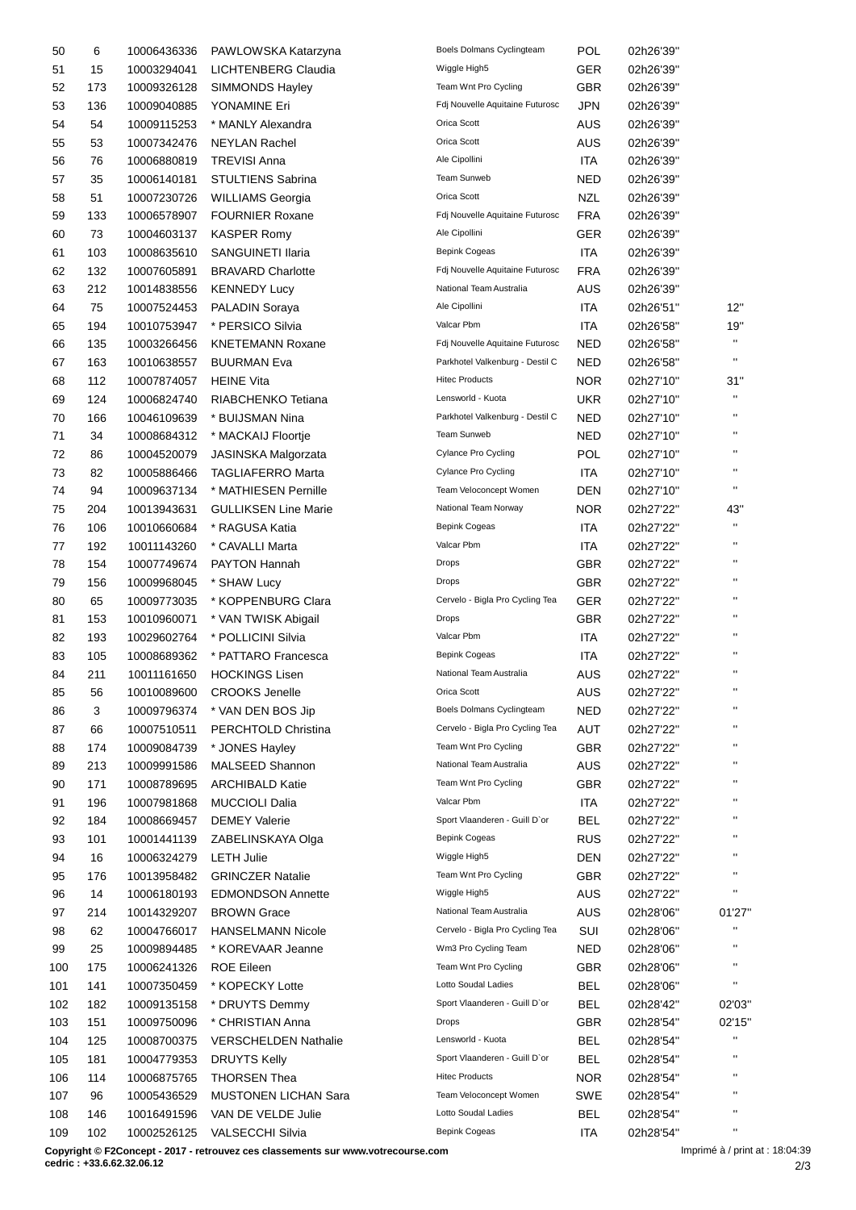| 50  | 6   | 10006436336 | PAWLOWSKA Katarzyna         | Boels Dolmans Cyclingteam       | POL        | 02h26'39" |                    |
|-----|-----|-------------|-----------------------------|---------------------------------|------------|-----------|--------------------|
| 51  | 15  | 10003294041 | LICHTENBERG Claudia         | Wiggle High5                    | <b>GER</b> | 02h26'39" |                    |
| 52  | 173 | 10009326128 | <b>SIMMONDS Hayley</b>      | Team Wnt Pro Cycling            | <b>GBR</b> | 02h26'39" |                    |
| 53  | 136 | 10009040885 | YONAMINE Eri                | Fdj Nouvelle Aquitaine Futurosc | JPN        | 02h26'39" |                    |
| 54  | 54  | 10009115253 | * MANLY Alexandra           | Orica Scott                     | AUS        | 02h26'39" |                    |
| 55  | 53  | 10007342476 | <b>NEYLAN Rachel</b>        | Orica Scott                     | <b>AUS</b> | 02h26'39" |                    |
| 56  | 76  | 10006880819 | <b>TREVISI Anna</b>         | Ale Cipollini                   | <b>ITA</b> | 02h26'39" |                    |
|     |     |             |                             | Team Sunweb                     |            |           |                    |
| 57  | 35  | 10006140181 | <b>STULTIENS Sabrina</b>    |                                 | <b>NED</b> | 02h26'39" |                    |
| 58  | 51  | 10007230726 | <b>WILLIAMS Georgia</b>     | Orica Scott                     | <b>NZL</b> | 02h26'39" |                    |
| 59  | 133 | 10006578907 | <b>FOURNIER Roxane</b>      | Fdj Nouvelle Aquitaine Futurosc | <b>FRA</b> | 02h26'39" |                    |
| 60  | 73  | 10004603137 | <b>KASPER Romy</b>          | Ale Cipollini                   | <b>GER</b> | 02h26'39" |                    |
| 61  | 103 | 10008635610 | SANGUINETI Ilaria           | <b>Bepink Cogeas</b>            | <b>ITA</b> | 02h26'39" |                    |
| 62  | 132 | 10007605891 | <b>BRAVARD Charlotte</b>    | Fdj Nouvelle Aquitaine Futurosc | <b>FRA</b> | 02h26'39" |                    |
| 63  | 212 | 10014838556 | <b>KENNEDY Lucy</b>         | National Team Australia         | <b>AUS</b> | 02h26'39" |                    |
| 64  | 75  | 10007524453 | <b>PALADIN Soraya</b>       | Ale Cipollini                   | <b>ITA</b> | 02h26'51" | 12"                |
| 65  | 194 | 10010753947 | * PERSICO Silvia            | Valcar Pbm                      | ITA        | 02h26'58" | 19"                |
| 66  | 135 | 10003266456 | <b>KNETEMANN Roxane</b>     | Fdj Nouvelle Aquitaine Futurosc | <b>NED</b> | 02h26'58" | $\mathbf{H}$       |
| 67  | 163 | 10010638557 | <b>BUURMAN Eva</b>          | Parkhotel Valkenburg - Destil C | NED        | 02h26'58" | $\pmb{\mathsf{H}}$ |
| 68  | 112 | 10007874057 | <b>HEINE Vita</b>           | <b>Hitec Products</b>           | NOR        | 02h27'10" | 31"                |
| 69  | 124 |             | RIABCHENKO Tetiana          | Lensworld - Kuota               | <b>UKR</b> |           | $\mathbf{H}$       |
|     |     | 10006824740 |                             |                                 |            | 02h27'10" | $\blacksquare$     |
| 70  | 166 | 10046109639 | * BUIJSMAN Nina             | Parkhotel Valkenburg - Destil C | <b>NED</b> | 02h27'10" | $\pmb{\mathsf{H}}$ |
| 71  | 34  | 10008684312 | * MACKAIJ Floortje          | Team Sunweb                     | <b>NED</b> | 02h27'10" |                    |
| 72  | 86  | 10004520079 | JASINSKA Malgorzata         | Cylance Pro Cycling             | <b>POL</b> | 02h27'10" | $\blacksquare$     |
| 73  | 82  | 10005886466 | <b>TAGLIAFERRO Marta</b>    | Cylance Pro Cycling             | <b>ITA</b> | 02h27'10" | $\pmb{\mathsf{H}}$ |
| 74  | 94  | 10009637134 | * MATHIESEN Pernille        | Team Veloconcept Women          | DEN        | 02h27'10" | $\blacksquare$     |
| 75  | 204 | 10013943631 | <b>GULLIKSEN Line Marie</b> | National Team Norway            | <b>NOR</b> | 02h27'22" | 43"                |
| 76  | 106 | 10010660684 | * RAGUSA Katia              | Bepink Cogeas                   | <b>ITA</b> | 02h27'22" | $\mathbf{H}$       |
| 77  | 192 | 10011143260 | * CAVALLI Marta             | Valcar Pbm                      | ITA        | 02h27'22" | $\pmb{\mathsf{H}}$ |
| 78  | 154 | 10007749674 | PAYTON Hannah               | Drops                           | <b>GBR</b> | 02h27'22" | $\blacksquare$     |
| 79  | 156 | 10009968045 | * SHAW Lucy                 | Drops                           | <b>GBR</b> | 02h27'22" | $\mathbf{H}$       |
| 80  | 65  | 10009773035 | * KOPPENBURG Clara          | Cervelo - Bigla Pro Cycling Tea | <b>GER</b> | 02h27'22" | $\blacksquare$     |
| 81  | 153 | 10010960071 | * VAN TWISK Abigail         | <b>Drops</b>                    | <b>GBR</b> | 02h27'22" | $\pmb{\mathsf{H}}$ |
| 82  | 193 | 10029602764 | * POLLICINI Silvia          | Valcar Pbm                      | <b>ITA</b> | 02h27'22" | $\blacksquare$     |
| 83  | 105 | 10008689362 | * PATTARO Francesca         | <b>Bepink Cogeas</b>            | ITA        | 02h27'22" | $\blacksquare$     |
| 84  | 211 |             | <b>HOCKINGS Lisen</b>       | National Team Australia         | AUS        | 02h27'22" | $\blacksquare$     |
|     |     | 10011161650 |                             | Orica Scott                     |            |           | $\mathbf{H}$       |
| 85  | 56  | 10010089600 | <b>CROOKS Jenelle</b>       |                                 | <b>AUS</b> | 02h27'22" | $\pmb{\mathsf{H}}$ |
| 86  | 3   | 10009796374 | * VAN DEN BOS Jip           | Boels Dolmans Cyclingteam       | <b>NED</b> | 02h27'22" |                    |
| 87  | 66  | 10007510511 | PERCHTOLD Christina         | Cervelo - Bigla Pro Cycling Tea | AUT        | 02h27'22" | $\blacksquare$     |
| 88  | 174 | 10009084739 | * JONES Hayley              | Team Wnt Pro Cycling            | <b>GBR</b> | 02h27'22" | .,                 |
| 89  | 213 | 10009991586 | MALSEED Shannon             | National Team Australia         | AUS        | 02h27'22" | .,                 |
| 90  | 171 | 10008789695 | <b>ARCHIBALD Katie</b>      | Team Wnt Pro Cycling            | <b>GBR</b> | 02h27'22" | .,                 |
| 91  | 196 | 10007981868 | <b>MUCCIOLI Dalia</b>       | Valcar Pbm                      | ITA        | 02h27'22" | .,                 |
| 92  | 184 | 10008669457 | <b>DEMEY Valerie</b>        | Sport Vlaanderen - Guill D'or   | <b>BEL</b> | 02h27'22" | $\blacksquare$     |
| 93  | 101 | 10001441139 | ZABELINSKAYA Olga           | <b>Bepink Cogeas</b>            | <b>RUS</b> | 02h27'22" | $\blacksquare$     |
| 94  | 16  | 10006324279 | <b>LETH Julie</b>           | Wiggle High5                    | <b>DEN</b> | 02h27'22" | $\blacksquare$     |
| 95  | 176 | 10013958482 | <b>GRINCZER Natalie</b>     | Team Wnt Pro Cycling            | <b>GBR</b> | 02h27'22" | $\pmb{\mathsf{H}}$ |
| 96  | 14  | 10006180193 | <b>EDMONDSON Annette</b>    | Wiggle High5                    | <b>AUS</b> | 02h27'22" | $\blacksquare$     |
| 97  | 214 | 10014329207 | <b>BROWN Grace</b>          | National Team Australia         | <b>AUS</b> | 02h28'06" | 01'27"             |
|     |     |             |                             | Cervelo - Bigla Pro Cycling Tea |            |           |                    |
| 98  | 62  | 10004766017 | <b>HANSELMANN Nicole</b>    |                                 | SUI        | 02h28'06" | $\blacksquare$     |
| 99  | 25  | 10009894485 | * KOREVAAR Jeanne           | Wm3 Pro Cycling Team            | NED        | 02h28'06" |                    |
| 100 | 175 | 10006241326 | <b>ROE Eileen</b>           | Team Wnt Pro Cycling            | <b>GBR</b> | 02h28'06" | $\blacksquare$     |
| 101 | 141 | 10007350459 | * KOPECKY Lotte             | Lotto Soudal Ladies             | <b>BEL</b> | 02h28'06" | $\mathbf{H}$       |
| 102 | 182 | 10009135158 | * DRUYTS Demmy              | Sport Vlaanderen - Guill D'or   | <b>BEL</b> | 02h28'42" | 02'03"             |
| 103 | 151 | 10009750096 | * CHRISTIAN Anna            | <b>Drops</b>                    | <b>GBR</b> | 02h28'54" | 02'15"             |
| 104 | 125 | 10008700375 | <b>VERSCHELDEN Nathalie</b> | Lensworld - Kuota               | <b>BEL</b> | 02h28'54" | $\pmb{\mathsf{H}}$ |
| 105 | 181 | 10004779353 | <b>DRUYTS Kelly</b>         | Sport Vlaanderen - Guill D'or   | <b>BEL</b> | 02h28'54" | $\blacksquare$     |
| 106 | 114 | 10006875765 | <b>THORSEN Thea</b>         | <b>Hitec Products</b>           | NOR.       | 02h28'54" | $\blacksquare$     |
| 107 | 96  | 10005436529 | <b>MUSTONEN LICHAN Sara</b> | Team Veloconcept Women          | SWE        | 02h28'54" |                    |
| 108 | 146 | 10016491596 | VAN DE VELDE Julie          | Lotto Soudal Ladies             | BEL        | 02h28'54" | $\blacksquare$     |
| 109 | 102 | 10002526125 | VALSECCHI Silvia            | <b>Bepink Cogeas</b>            | <b>ITA</b> | 02h28'54" | $\blacksquare$     |
|     |     |             |                             |                                 |            |           |                    |

**Copyright © F2Concept - 2017 - retrouvez ces classements sur www.votrecourse.com**